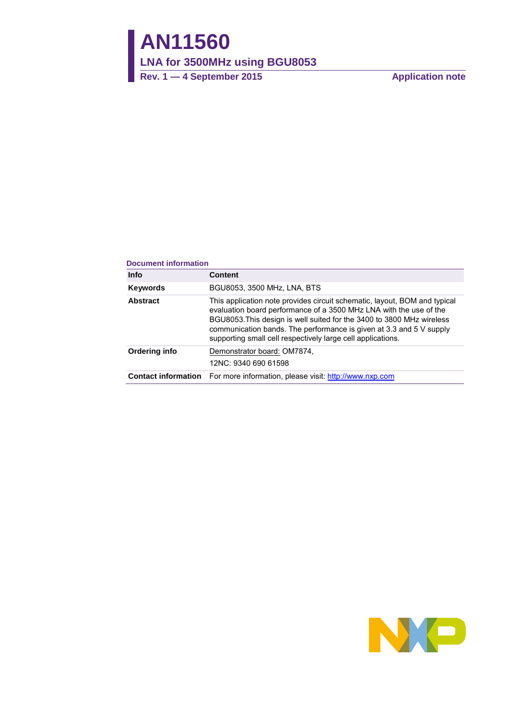# **AN11560**

**LNA for 3500MHz using BGU8053**

**Rev. 1 — 4 September 2015 Application note**

#### **Document information**

| <b>Info</b>     | <b>Content</b>                                                                                                                                                                                                                                                                                                                                                 |
|-----------------|----------------------------------------------------------------------------------------------------------------------------------------------------------------------------------------------------------------------------------------------------------------------------------------------------------------------------------------------------------------|
| <b>Keywords</b> | BGU8053, 3500 MHz, LNA, BTS                                                                                                                                                                                                                                                                                                                                    |
| <b>Abstract</b> | This application note provides circuit schematic, layout, BOM and typical<br>evaluation board performance of a 3500 MHz LNA with the use of the<br>BGU8053. This design is well suited for the 3400 to 3800 MHz wireless<br>communication bands. The performance is given at 3.3 and 5 V supply<br>supporting small cell respectively large cell applications. |
| Ordering info   | Demonstrator board: OM7874,<br>12NC: 9340 690 61598                                                                                                                                                                                                                                                                                                            |
|                 | <b>Contact information</b> For more information, please visit: http://www.nxp.com                                                                                                                                                                                                                                                                              |

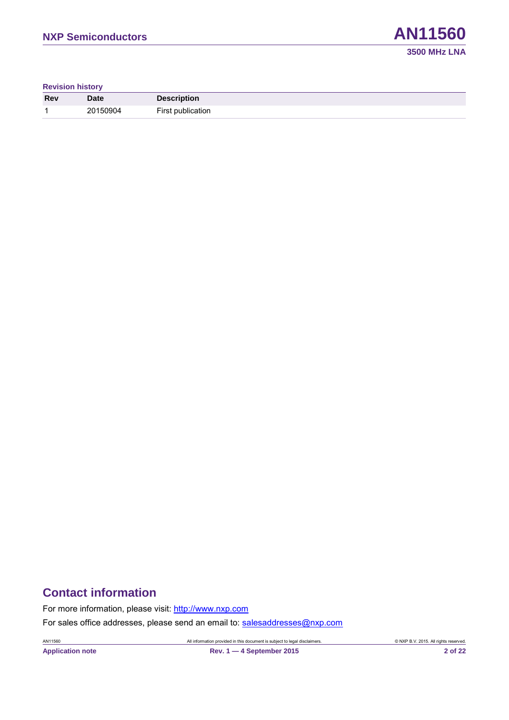**Revision history**

| <b>Rev</b> | <b>Date</b> | <b>Description</b> |
|------------|-------------|--------------------|
|            | 20150904    | First publication  |

### **Contact information**

For more information, please visit: [http://www.nxp.com](http://www.nxp.com/)

For sales office addresses, please send an email to: [salesaddresses@nxp.com](mailto:salesaddresses@nxp.com)

AN11560 All information provided in this document is subject to legal disclaimers. © NXP B.V. 2015. All rights reserved.

**Application note Rev. 1 — 4 September 2015 2 of 22**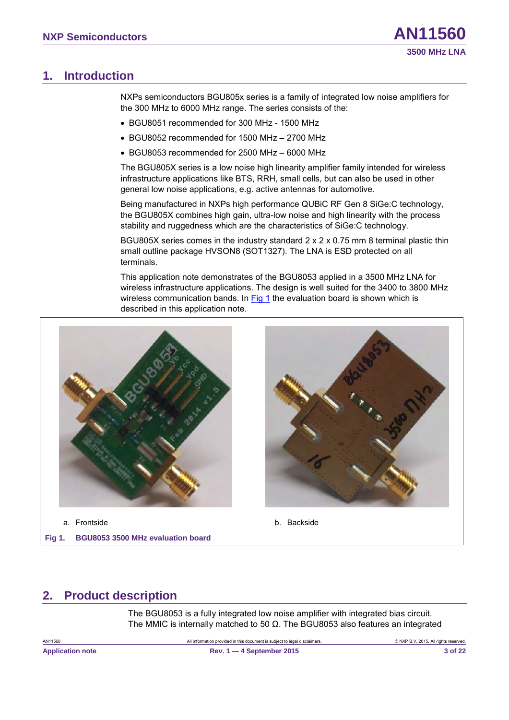### <span id="page-2-2"></span>**1. Introduction**

NXPs semiconductors BGU805x series is a family of integrated low noise amplifiers for the 300 MHz to 6000 MHz range. The series consists of the:

- BGU8051 recommended for 300 MHz 1500 MHz
- BGU8052 recommended for 1500 MHz 2700 MHz
- BGU8053 recommended for 2500 MHz 6000 MHz

The BGU805X series is a low noise high linearity amplifier family intended for wireless infrastructure applications like BTS, RRH, small cells, but can also be used in other general low noise applications, e.g. active antennas for automotive.

Being manufactured in NXPs high performance QUBiC RF Gen 8 SiGe:C technology, the BGU805X combines high gain, ultra-low noise and high linearity with the process stability and ruggedness which are the characteristics of SiGe:C technology.

BGU805X series comes in the industry standard  $2 \times 2 \times 0.75$  mm 8 terminal plastic thin small outline package HVSON8 (SOT1327). The LNA is ESD protected on all terminals.

This application note demonstrates of the BGU8053 applied in a 3500 MHz LNA for wireless infrastructure applications. The design is well suited for the 3400 to 3800 MHz wireless communication bands. In [Fig 1](#page-2-0) the evaluation board is shown which is described in this application note.



<span id="page-2-3"></span><span id="page-2-1"></span>a. Frontside b. Backside

<span id="page-2-0"></span>**Fig 1. BGU8053 3500 MHz evaluation board**



### **2. Product description**

The BGU8053 is a fully integrated low noise amplifier with integrated bias circuit. The MMIC is internally matched to 50  $\Omega$ . The BGU8053 also features an integrated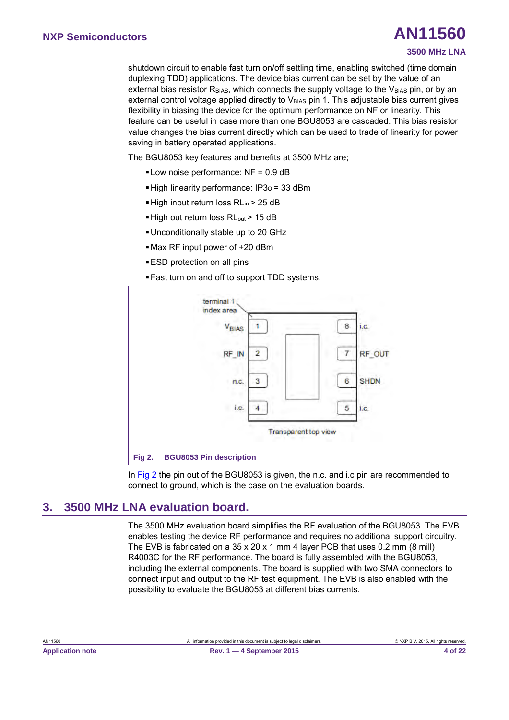#### **3500 MHz LNA**

shutdown circuit to enable fast turn on/off settling time, enabling switched (time domain duplexing TDD) applications. The device bias current can be set by the value of an external bias resistor R<sub>BIAS</sub>, which connects the supply voltage to the V<sub>BIAS</sub> pin, or by an external control voltage applied directly to V<sub>BIAS</sub> pin 1. This adjustable bias current gives flexibility in biasing the device for the optimum performance on NF or linearity. This feature can be useful in case more than one BGU8053 are cascaded. This bias resistor value changes the bias current directly which can be used to trade of linearity for power saving in battery operated applications.

The BGU8053 key features and benefits at 3500 MHz are;

- Low noise performance: NF = 0.9 dB
- **High linearity performance: IP3<sub>0</sub> = 33 dBm**
- High input return loss RL<sub>in</sub> > 25 dB
- High out return loss RL<sub>out</sub> > 15 dB
- Unconditionally stable up to 20 GHz
- Max RF input power of +20 dBm
- ESD protection on all pins
- Fast turn on and off to support TDD systems.



<span id="page-3-1"></span><span id="page-3-0"></span>In [Fig 2](#page-3-0) the pin out of the BGU8053 is given, the n.c. and i.c pin are recommended to connect to ground, which is the case on the evaluation boards.

### <span id="page-3-2"></span>**3. 3500 MHz LNA evaluation board.**

The 3500 MHz evaluation board simplifies the RF evaluation of the BGU8053. The EVB enables testing the device RF performance and requires no additional support circuitry. The EVB is fabricated on a 35 x 20 x 1 mm 4 layer PCB that uses 0.2 mm (8 mill) R4003C for the RF performance. The board is fully assembled with the BGU8053, including the external components. The board is supplied with two SMA connectors to connect input and output to the RF test equipment. The EVB is also enabled with the possibility to evaluate the BGU8053 at different bias currents.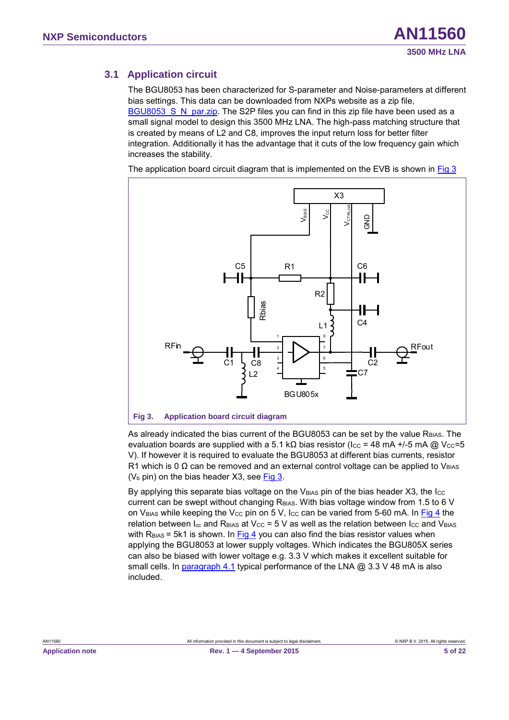### <span id="page-4-2"></span>**3.1 Application circuit**

The BGU8053 has been characterized for S-parameter and Noise-parameters at different bias settings. This data can be downloaded from NXPs website as a zip file, BGU8053 S\_N\_par.zip. The S2P files you can find in this zip file have been used as a small signal model to design this 3500 MHz LNA. The high-pass matching structure that is created by means of L2 and C8, improves the input return loss for better filter integration. Additionally it has the advantage that it cuts of the low frequency gain which increases the stability.

The application board circuit diagram that is implemented on the EVB is shown in [Fig 3](#page-4-0)



<span id="page-4-1"></span><span id="page-4-0"></span>As already indicated the bias current of the BGU8053 can be set by the value R<sub>BIAS</sub>. The evaluation boards are supplied with a 5.1 kΩ bias resistor (I<sub>CC</sub> = 48 mA +/-5 mA @ V<sub>CC</sub>=5 V). If however it is required to evaluate the BGU8053 at different bias currents, resistor R1 which is 0  $\Omega$  can be removed and an external control voltage can be applied to V<sub>BIAS</sub>  $(V_b$  pin) on the bias header X3, see [Fig 3.](#page-4-0)

By applying this separate bias voltage on the  $V_{\text{BIAS}}$  pin of the bias header X3, the  $\text{Icc}$ current can be swept without changing  $R<sub>BIAS</sub>$ . With bias voltage window from 1.5 to 6 V on V<sub>BIAS</sub> while keeping the V<sub>CC</sub> pin on 5 V, I<sub>CC</sub> can be varied from 5-60 mA. In [Fig 4](#page-5-0) the relation between  $I_{\text{cc}}$  and R<sub>BIAS</sub> at V<sub>CC</sub> = 5 V as well as the relation between I<sub>CC</sub> and V<sub>BIAS</sub> with  $R<sub>BIAS</sub> = 5k1$  is shown. In [Fig 4](#page-5-0) you can also find the bias resistor values when applying the BGU8053 at lower supply voltages. Which indicates the BGU805X series can also be biased with lower voltage e.g. 3.3 V which makes it excellent suitable for small cells. In paragraph [4.1](#page-8-0) typical performance of the LNA @ 3.3 V 48 mA is also included.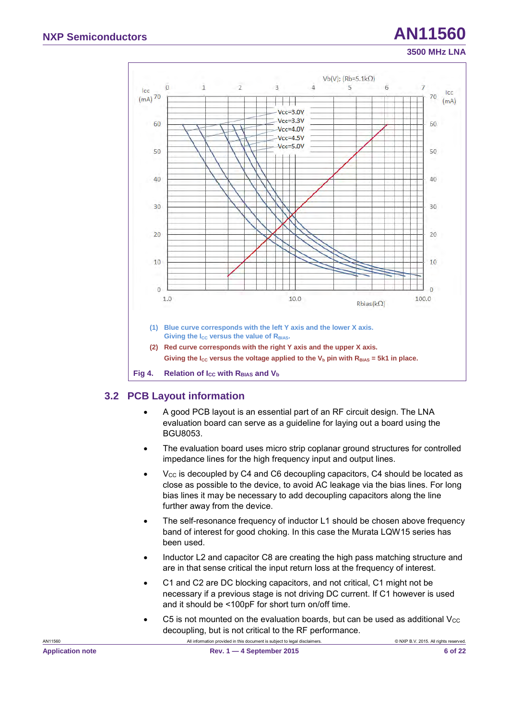

### <span id="page-5-2"></span><span id="page-5-1"></span><span id="page-5-0"></span>**3.2 PCB Layout information**

- A good PCB layout is an essential part of an RF circuit design. The LNA evaluation board can serve as a guideline for laying out a board using the BGU8053.
- The evaluation board uses micro strip coplanar ground structures for controlled impedance lines for the high frequency input and output lines.
- $V_{CC}$  is decoupled by C4 and C6 decoupling capacitors, C4 should be located as close as possible to the device, to avoid AC leakage via the bias lines. For long bias lines it may be necessary to add decoupling capacitors along the line further away from the device.
- The self-resonance frequency of inductor L1 should be chosen above frequency band of interest for good choking. In this case the Murata LQW15 series has been used.
- Inductor L2 and capacitor C8 are creating the high pass matching structure and are in that sense critical the input return loss at the frequency of interest.
- C1 and C2 are DC blocking capacitors, and not critical, C1 might not be necessary if a previous stage is not driving DC current. If C1 however is used and it should be <100pF for short turn on/off time.
- C5 is not mounted on the evaluation boards, but can be used as additional  $V_{\text{CC}}$ decoupling, but is not critical to the RF performance.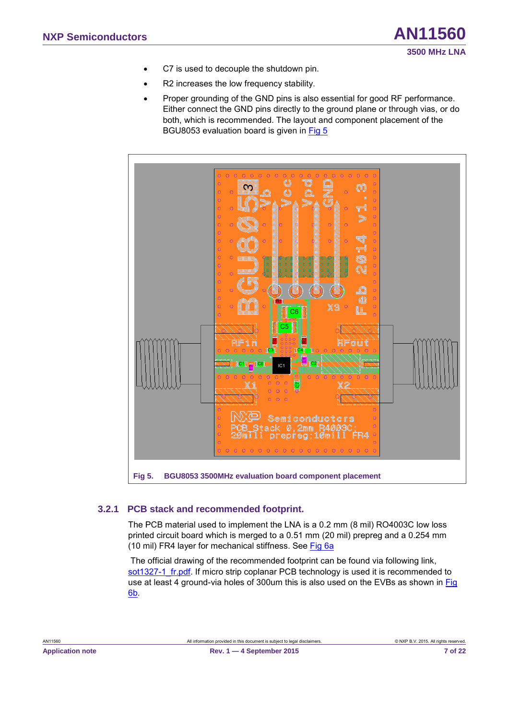- C7 is used to decouple the shutdown pin.
- R2 increases the low frequency stability.
- Proper grounding of the GND pins is also essential for good RF performance. Either connect the GND pins directly to the ground plane or through vias, or do both, which is recommended. The layout and component placement of the BGU8053 evaluation board is given in [Fig 5](#page-6-0)



### <span id="page-6-2"></span><span id="page-6-1"></span><span id="page-6-0"></span>**3.2.1 PCB stack and recommended footprint.**

The PCB material used to implement the LNA is a 0.2 mm (8 mil) RO4003C low loss printed circuit board which is merged to a 0.51 mm (20 mil) prepreg and a 0.254 mm (10 mil) FR4 layer for mechanical stiffness. See [Fig 6a](#page-7-0)

The official drawing of the recommended footprint can be found via following link, sot1327-1 fr.pdf. If micro strip coplanar PCB technology is used it is recommended to use at least 4 ground-via holes of 300um this is also used on the EVBs as shown in [Fig](#page-7-0)  [6](#page-7-0)[b.](#page-7-1)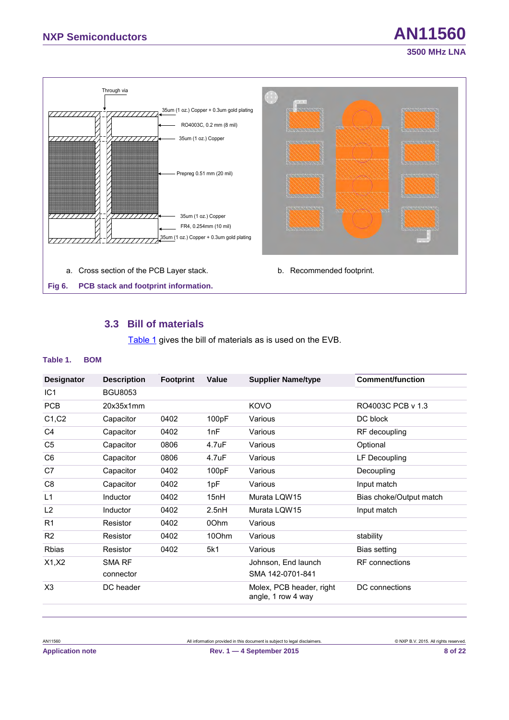

### <span id="page-7-5"></span><span id="page-7-4"></span><span id="page-7-3"></span><span id="page-7-2"></span><span id="page-7-0"></span>**3.3 Bill of materials**

<span id="page-7-1"></span>[Table 1](#page-7-2) gives the bill of materials as is used on the EVB.

#### **Table 1. BOM**

| <b>Designator</b> | <b>Description</b> | <b>Footprint</b> | Value | <b>Supplier Name/type</b>                      | <b>Comment/function</b> |
|-------------------|--------------------|------------------|-------|------------------------------------------------|-------------------------|
| IC <sub>1</sub>   | <b>BGU8053</b>     |                  |       |                                                |                         |
| <b>PCB</b>        | 20x35x1mm          |                  |       | KOVO                                           | RO4003C PCB v 1.3       |
| C1, C2            | Capacitor          | 0402             | 100pF | Various                                        | DC block                |
| C <sub>4</sub>    | Capacitor          | 0402             | 1nF   | Various                                        | RF decoupling           |
| C <sub>5</sub>    | Capacitor          | 0806             | 4.7uF | Various                                        | Optional                |
| C6                | Capacitor          | 0806             | 4.7uF | Various                                        | LF Decoupling           |
| C7                | Capacitor          | 0402             | 100pF | Various                                        | Decoupling              |
| C8                | Capacitor          | 0402             | 1pF   | Various                                        | Input match             |
| L1                | <b>Inductor</b>    | 0402             | 15nH  | Murata LQW15                                   | Bias choke/Output match |
| L <sub>2</sub>    | Inductor           | 0402             | 2.5nH | Murata LQW15                                   | Input match             |
| R <sub>1</sub>    | Resistor           | 0402             | 00hm  | Various                                        |                         |
| R2                | Resistor           | 0402             | 10Ohm | Various                                        | stability               |
| <b>Rbias</b>      | Resistor           | 0402             | 5k1   | Various                                        | Bias setting            |
| X1, X2            | <b>SMA RF</b>      |                  |       | Johnson, End launch                            | <b>RF</b> connections   |
|                   | connector          |                  |       | SMA 142-0701-841                               |                         |
| X3                | DC header          |                  |       | Molex, PCB header, right<br>angle, 1 row 4 way | DC connections          |

AN11560 All information provided in this document is subject to legal disclaimers. © NXP B.V. 2015. All rights reserved.

**3500 MHz LNA**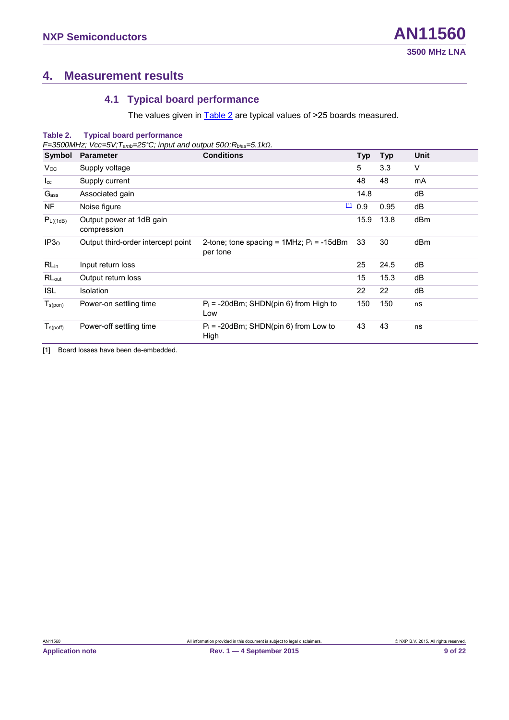### <span id="page-8-4"></span>**4. Measurement results**

### <span id="page-8-5"></span><span id="page-8-3"></span><span id="page-8-1"></span><span id="page-8-0"></span>**4.1 Typical board performance**

The values given in **Table 2** are typical values of >25 boards measured.

### **Table 2. Typical board performance**

*F=3500MHz; Vcc=5V;Tamb=25°C; input and output 50Ω;Rbias=5.1kΩ.* 

| Symbol                | <b>Parameter</b>                        | <b>Conditions</b>                                          | <b>Typ</b> | <b>Typ</b> | Unit |
|-----------------------|-----------------------------------------|------------------------------------------------------------|------------|------------|------|
| <b>V<sub>cc</sub></b> | Supply voltage                          |                                                            | 5          | 3.3        | V    |
| $_{\rm lcc}$          | Supply current                          |                                                            | 48         | 48         | mA   |
| Gass                  | Associated gain                         |                                                            | 14.8       |            | dB   |
| <b>NF</b>             | Noise figure                            |                                                            | 110.9      | 0.95       | dB   |
| $P_{L((1dB)}$         | Output power at 1dB gain<br>compression |                                                            | 15.9       | 13.8       | dBm  |
| IP3 <sub>0</sub>      | Output third-order intercept point      | 2-tone; tone spacing = $1MHz$ ; $P_i = -15dBm$<br>per tone | 33         | 30         | dBm  |
| $RL_{in}$             | Input return loss                       |                                                            | 25         | 24.5       | dB   |
| RLout                 | Output return loss                      |                                                            | 15         | 15.3       | dB   |
| <b>ISL</b>            | <b>Isolation</b>                        |                                                            | 22         | 22         | dB   |
| $T_{s(pon)}$          | Power-on settling time                  | $P_i = -20$ dBm; SHDN(pin 6) from High to<br>Low           | 150        | 150        | ns   |
| $T_{\text{s(poff)}}$  | Power-off settling time                 | $P_i = -20$ dBm; SHDN(pin 6) from Low to<br>High           | 43         | 43         | ns   |
|                       |                                         |                                                            |            |            |      |

<span id="page-8-2"></span>[1] Board losses have been de-embedded.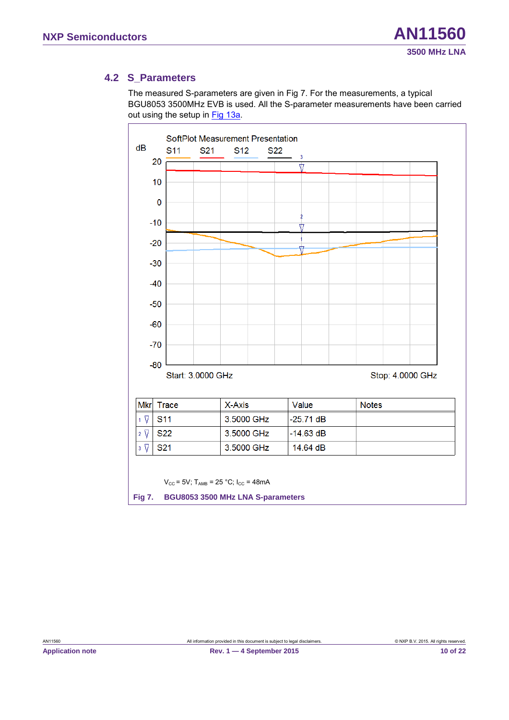### <span id="page-9-2"></span>**4.2 S\_Parameters**

The measured S-parameters are given in [Fig 7.](#page-9-0) For the measurements, a typical BGU8053 3500MHz EVB is used. All the S-parameter measurements have been carried out using the setup in [Fig 13a.](#page-15-0)



<span id="page-9-1"></span><span id="page-9-0"></span>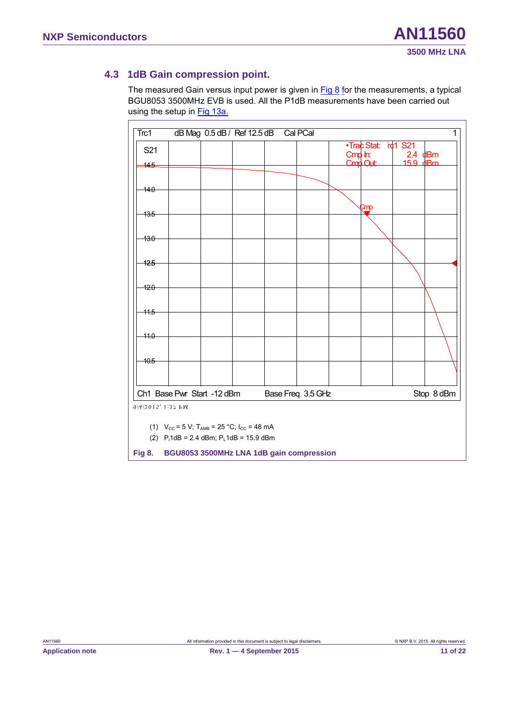### <span id="page-10-2"></span>**4.3 1dB Gain compression point.**

The measured Gain versus input power is given in [Fig 8](#page-10-0) for the measurements, a typical BGU8053 3500MHz EVB is used. All the P1dB measurements have been carried out using the setup in [Fig 13a.](#page-15-0)

| Trc1              |                                                                                                                                      | dB Mag 0.5 dB / Ref 12.5 dB |                   | Cal PCal |         |                          |                                    | 1          |
|-------------------|--------------------------------------------------------------------------------------------------------------------------------------|-----------------------------|-------------------|----------|---------|--------------------------|------------------------------------|------------|
| S21               |                                                                                                                                      |                             |                   |          | Cmp In: | • Trac Stat:<br>Cmp Out: | rc1 S21<br>$2.4$ dBm<br>$15.9$ dBm |            |
| 145<br>140        |                                                                                                                                      |                             |                   |          |         |                          |                                    |            |
| 13.5              |                                                                                                                                      |                             |                   |          |         | Cmp                      |                                    |            |
| $130 -$           |                                                                                                                                      |                             |                   |          |         |                          |                                    |            |
| 12.5              |                                                                                                                                      |                             |                   |          |         |                          |                                    |            |
| $-12.0$           |                                                                                                                                      |                             |                   |          |         |                          |                                    |            |
| $-11.5$           |                                                                                                                                      |                             |                   |          |         |                          |                                    |            |
| $-11.0$           |                                                                                                                                      |                             |                   |          |         |                          |                                    |            |
| $+0.5$            |                                                                                                                                      |                             |                   |          |         |                          |                                    |            |
|                   |                                                                                                                                      |                             |                   |          |         |                          |                                    |            |
|                   | Ch1 Base Pwr Start -12 dBm                                                                                                           |                             | Base Freq 3.5 GHz |          |         |                          |                                    | Stop 8 dBm |
| 9/4/2015, 1:37 PM | (1) $V_{\text{CC}} = 5 \text{ V}$ ; T <sub>AMB</sub> = 25 °C; I <sub>CC</sub> = 48 mA<br>(2) $P_i1dB = 2.4$ dBm; $P_i1dB = 15.9$ dBm |                             |                   |          |         |                          |                                    |            |
| <b>Fig 8.</b>     | BGU8053 3500MHz LNA 1dB gain compression                                                                                             |                             |                   |          |         |                          |                                    |            |

<span id="page-10-1"></span><span id="page-10-0"></span>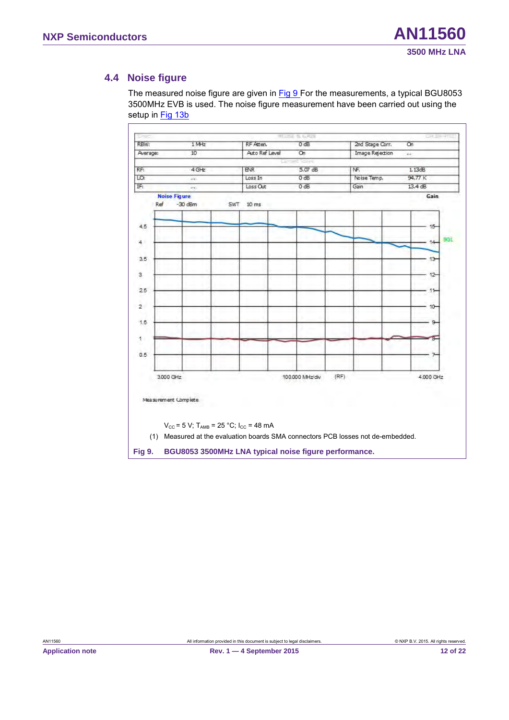### <span id="page-11-2"></span>**4.4 Noise figure**

The measured noise figure are given in [Fig 9](#page-11-0) For the measurements, a typical BGU8053 3500MHz EVB is used. The noise figure measurement have been carried out using the setup in [Fig 13b](#page-15-0)

| RBW:     | 1 MHz               |            | RF Atten.        | 0 dB            |      | 2nd Stage Corr.        | $\overline{on}$ |     |
|----------|---------------------|------------|------------------|-----------------|------|------------------------|-----------------|-----|
| Average: | 10                  |            | Auto Ref Level   | $\overline{on}$ |      | <b>Image Rejection</b> | m.              |     |
|          |                     |            |                  | isles           |      |                        |                 |     |
| RF:      | $4$ GHz             |            | <b>ENR</b>       | 5.07 dB         |      | NF.                    | 1.13dB          |     |
| LO:      | m                   |            | Loss In          | 0 dE            |      | Noise Temp.            | 94.77 K         |     |
| IF:      | DO.                 |            | Loss Out         | 0 dB            |      | Gain                   | 13.4 dB         |     |
|          | <b>Noise Figure</b> |            |                  |                 |      |                        | Gain            |     |
|          | Ref<br>$-30$ dBm    | <b>SWT</b> | 10 <sub>ms</sub> |                 |      |                        |                 |     |
|          |                     |            |                  |                 |      |                        |                 |     |
| 4.5      |                     |            |                  |                 |      |                        | $15 -$          |     |
|          |                     |            |                  |                 |      |                        |                 |     |
| 4        |                     |            |                  |                 |      |                        | $14 -$          | SGL |
|          |                     |            |                  |                 |      |                        |                 |     |
| 3.5      |                     |            |                  |                 |      |                        | 13              |     |
|          |                     |            |                  |                 |      |                        |                 |     |
| 3        |                     |            |                  |                 |      |                        | $12 -$          |     |
|          |                     |            |                  |                 |      |                        |                 |     |
| 2.5      |                     |            |                  |                 |      |                        | 11              |     |
| $2 -$    |                     |            |                  |                 |      |                        |                 |     |
|          |                     |            |                  |                 |      |                        | $10 -$          |     |
| 1.5      |                     |            |                  |                 |      |                        | 9               |     |
|          |                     |            |                  |                 |      |                        |                 |     |
| 1        |                     |            |                  |                 |      |                        |                 |     |
|          |                     |            |                  |                 |      |                        |                 |     |
| 0.5      |                     |            |                  |                 |      |                        |                 |     |
|          |                     |            |                  |                 |      |                        |                 |     |
|          |                     |            |                  |                 | (RF) |                        |                 |     |
|          | 3.000 GHz           |            |                  | 100.000 MHz/div |      |                        | 4.000 GHz       |     |

<span id="page-11-1"></span><span id="page-11-0"></span>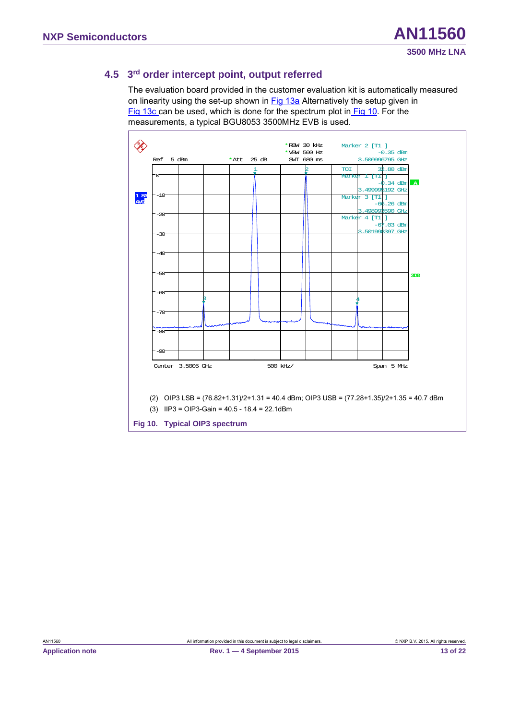### <span id="page-12-2"></span>**4.5 3rd order intercept point, output referred**

The evaluation board provided in the customer evaluation kit is automatically measured on linearity using the set-up shown in **Fig 13a** Alternatively the setup given in [Fig 13c](#page-15-0) can be used, which is done for the spectrum plot in [Fig 10.](#page-12-0) For the measurements, a typical BGU8053 3500MHz EVB is used.

<span id="page-12-1"></span>

<span id="page-12-0"></span>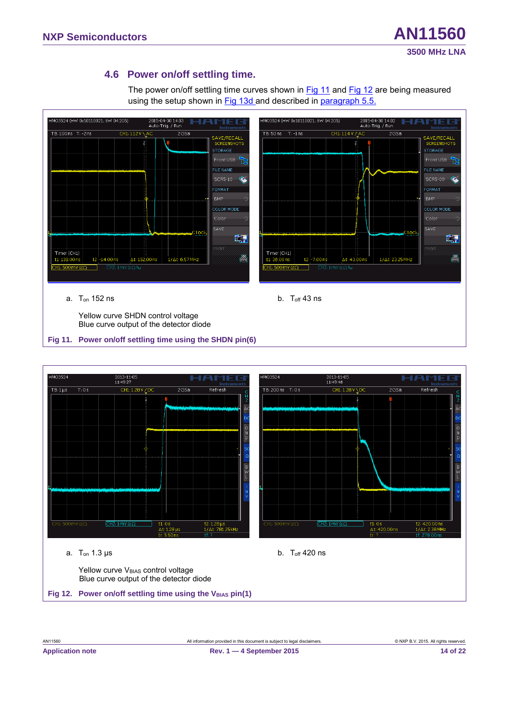### <span id="page-13-4"></span>**4.6 Power on/off settling time.**

The power on/off settling time curves shown in [Fig 11](#page-13-0) and [Fig 12](#page-13-1) are being measured using the setup shown in [Fig 13d](#page-15-0) and described in paragraph [5.5.](#page-16-0)



<span id="page-13-2"></span>Yellow curve SHDN control voltage Blue curve output of the detector diode

#### <span id="page-13-0"></span>**Fig 11. Power on/off settling time using the SHDN pin(6)**

<span id="page-13-3"></span><span id="page-13-1"></span>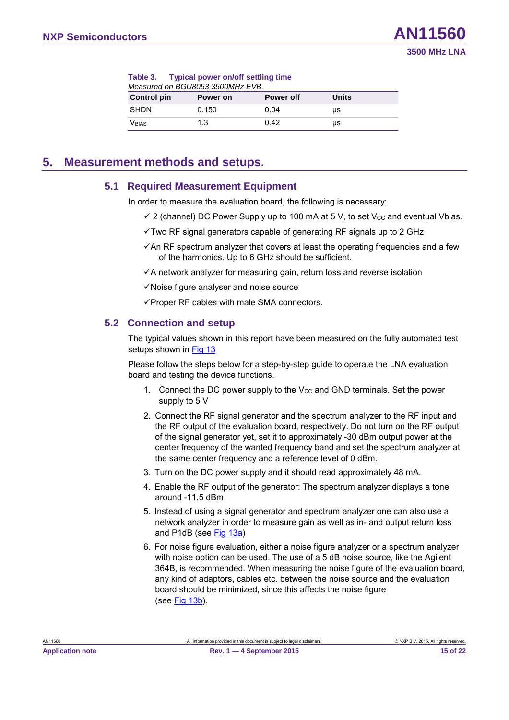<span id="page-14-0"></span>

| Table 3. Typical power on/off settling time |          |           |       |  |  |  |
|---------------------------------------------|----------|-----------|-------|--|--|--|
| Measured on BGU8053 3500MHz EVB.            |          |           |       |  |  |  |
| <b>Control pin</b>                          | Power on | Power off | Units |  |  |  |
| <b>SHDN</b>                                 | 0.150    | 0.04      | μs    |  |  |  |
| Vbias                                       | 1.3      | 0.42      | μs    |  |  |  |

### <span id="page-14-1"></span>**5. Measurement methods and setups.**

### <span id="page-14-2"></span>**5.1 Required Measurement Equipment**

In order to measure the evaluation board, the following is necessary:

- $\checkmark$  2 (channel) DC Power Supply up to 100 mA at 5 V, to set V<sub>cc</sub> and eventual Vbias.
- $\checkmark$  Two RF signal generators capable of generating RF signals up to 2 GHz
- $\checkmark$  An RF spectrum analyzer that covers at least the operating frequencies and a few of the harmonics. Up to 6 GHz should be sufficient.
- <span id="page-14-3"></span> $\checkmark$  A network analyzer for measuring gain, return loss and reverse isolation
- $\checkmark$  Noise figure analyser and noise source
- $\checkmark$  Proper RF cables with male SMA connectors.

### **5.2 Connection and setup**

The typical values shown in this report have been measured on the fully automated test setups shown in [Fig 13](#page-15-0)

Please follow the steps below for a step-by-step guide to operate the LNA evaluation board and testing the device functions.

- 1. Connect the DC power supply to the  $V_{CC}$  and GND terminals. Set the power supply to 5 V
- 2. Connect the RF signal generator and the spectrum analyzer to the RF input and the RF output of the evaluation board, respectively. Do not turn on the RF output of the signal generator yet, set it to approximately -30 dBm output power at the center frequency of the wanted frequency band and set the spectrum analyzer at the same center frequency and a reference level of 0 dBm.
- 3. Turn on the DC power supply and it should read approximately 48 mA.
- 4. Enable the RF output of the generator: The spectrum analyzer displays a tone around -11.5 dBm.
- 5. Instead of using a signal generator and spectrum analyzer one can also use a network analyzer in order to measure gain as well as in- and output return loss and P1dB (see [Fig 13a\)](#page-15-0)
- 6. For noise figure evaluation, either a noise figure analyzer or a spectrum analyzer with noise option can be used. The use of a 5 dB noise source, like the Agilent 364B, is recommended. When measuring the noise figure of the evaluation board, any kind of adaptors, cables etc. between the noise source and the evaluation board should be minimized, since this affects the noise figure (se[e Fig 13b](#page-15-0)).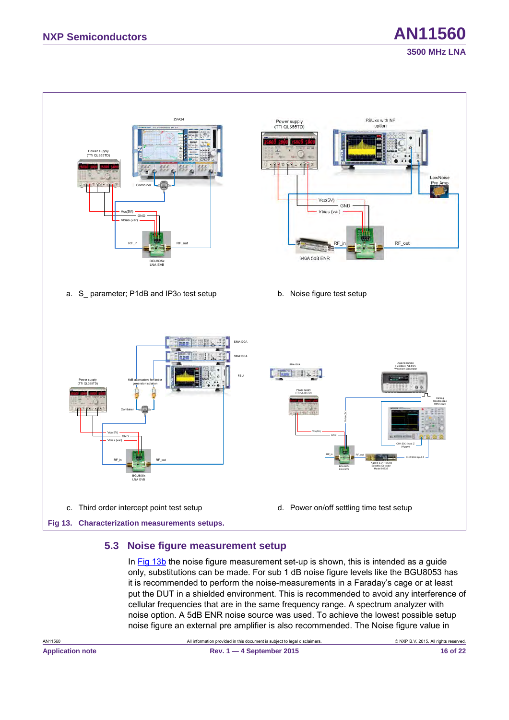

### <span id="page-15-2"></span><span id="page-15-1"></span><span id="page-15-0"></span>**5.3 Noise figure measurement setup**

In [Fig 13b](#page-15-0) the noise figure measurement set-up is shown, this is intended as a guide only, substitutions can be made. For sub 1 dB noise figure levels like the BGU8053 has it is recommended to perform the noise-measurements in a Faraday's cage or at least put the DUT in a shielded environment. This is recommended to avoid any interference of cellular frequencies that are in the same frequency range. A spectrum analyzer with noise option. A 5dB ENR noise source was used. To achieve the lowest possible setup noise figure an external pre amplifier is also recommended. The Noise figure value in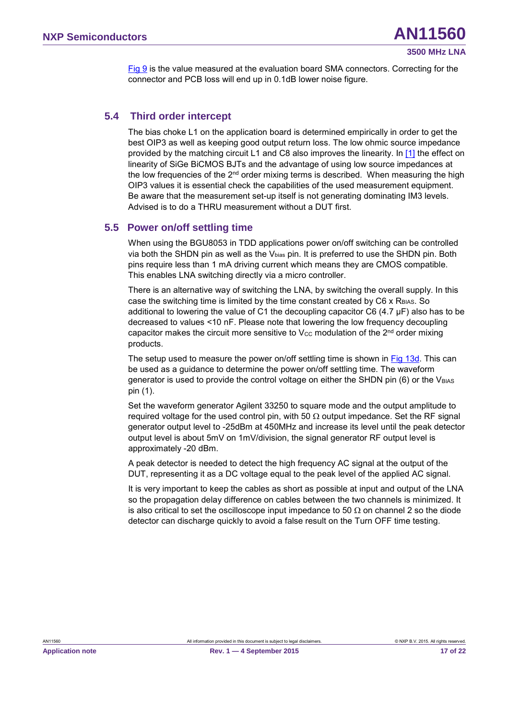<span id="page-16-1"></span>[Fig 9](#page-11-0) is the value measured at the evaluation board SMA connectors. Correcting for the connector and PCB loss will end up in 0.1dB lower noise figure.

### **5.4 Third order intercept**

<span id="page-16-2"></span>The bias choke L1 on the application board is determined empirically in order to get the best OIP3 as well as keeping good output return loss. The low ohmic source impedance provided by the matching circuit L1 and C8 also improves the linearity. In [\[1\]](#page-17-0) the effect on linearity of SiGe BiCMOS BJTs and the advantage of using low source impedances at the low frequencies of the  $2<sup>nd</sup>$  order mixing terms is described. When measuring the high OIP3 values it is essential check the capabilities of the used measurement equipment. Be aware that the measurement set-up itself is not generating dominating IM3 levels. Advised is to do a THRU measurement without a DUT first.

### <span id="page-16-0"></span>**5.5 Power on/off settling time**

When using the BGU8053 in TDD applications power on/off switching can be controlled via both the SHDN pin as well as the Vbias pin. It is preferred to use the SHDN pin. Both pins require less than 1 mA driving current which means they are CMOS compatible. This enables LNA switching directly via a micro controller.

There is an alternative way of switching the LNA, by switching the overall supply. In this case the switching time is limited by the time constant created by C6 x RBIAS. So additional to lowering the value of C1 the decoupling capacitor C6 (4.7  $\mu$ F) also has to be decreased to values <10 nF. Please note that lowering the low frequency decoupling capacitor makes the circuit more sensitive to  $V_{\text{cc}}$  modulation of the  $2^{nd}$  order mixing products.

The setup used to measure the power on/off settling time is shown in [Fig 13d.](#page-15-0) This can be used as a guidance to determine the power on/off settling time. The waveform generator is used to provide the control voltage on either the SHDN pin  $(6)$  or the V<sub>BIAS</sub> pin (1).

Set the waveform generator Agilent 33250 to square mode and the output amplitude to required voltage for the used control pin, with 50  $\Omega$  output impedance. Set the RF signal generator output level to -25dBm at 450MHz and increase its level until the peak detector output level is about 5mV on 1mV/division, the signal generator RF output level is approximately -20 dBm.

A peak detector is needed to detect the high frequency AC signal at the output of the DUT, representing it as a DC voltage equal to the peak level of the applied AC signal.

It is very important to keep the cables as short as possible at input and output of the LNA so the propagation delay difference on cables between the two channels is minimized. It is also critical to set the oscilloscope input impedance to 50  $\Omega$  on channel 2 so the diode detector can discharge quickly to avoid a false result on the Turn OFF time testing.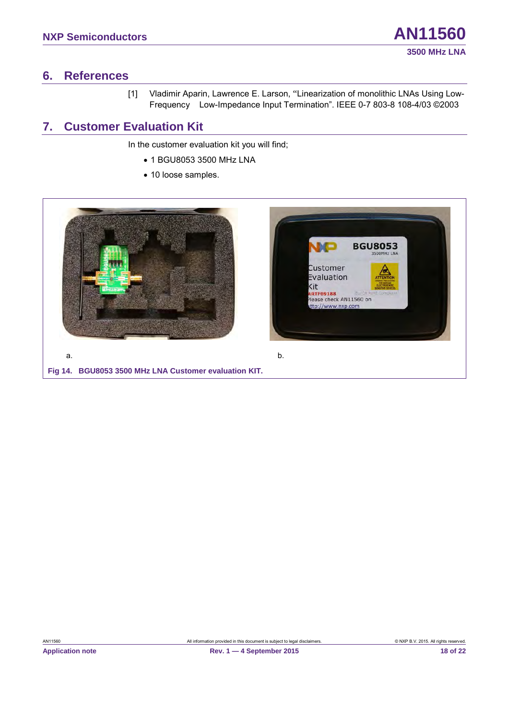### <span id="page-17-3"></span><span id="page-17-2"></span>**6. References**

<span id="page-17-0"></span>[1] Vladimir Aparin, Lawrence E. Larson, "Linearization of monolithic LNAs Using Low-Frequency Low-Impedance Input Termination". IEEE 0-7 803-8 108-4/03 ©2003

## **7. Customer Evaluation Kit**

In the customer evaluation kit you will find;

- 1 BGU8053 3500 MHz LNA
- 10 loose samples.

<span id="page-17-1"></span>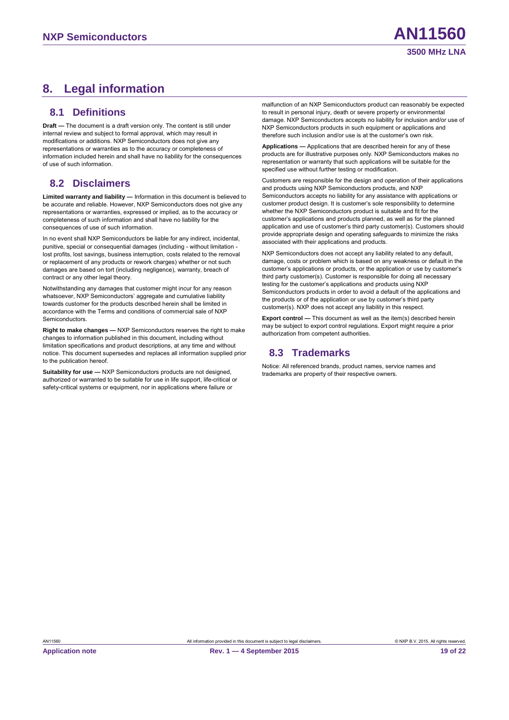## <span id="page-18-1"></span><span id="page-18-0"></span>**8. Legal information**

### **8.1 Definitions**

<span id="page-18-2"></span>**Draft —** The document is a draft version only. The content is still under internal review and subject to formal approval, which may result in modifications or additions. NXP Semiconductors does not give any representations or warranties as to the accuracy or completeness of information included herein and shall have no liability for the consequences of use of such information.

### **8.2 Disclaimers**

**Limited warranty and liability —** Information in this document is believed to be accurate and reliable. However, NXP Semiconductors does not give any representations or warranties, expressed or implied, as to the accuracy or completeness of such information and shall have no liability for the consequences of use of such information.

In no event shall NXP Semiconductors be liable for any indirect, incidental, punitive, special or consequential damages (including - without limitation lost profits, lost savings, business interruption, costs related to the removal or replacement of any products or rework charges) whether or not such damages are based on tort (including negligence), warranty, breach of contract or any other legal theory.

Notwithstanding any damages that customer might incur for any reason whatsoever, NXP Semiconductors' aggregate and cumulative liability towards customer for the products described herein shall be limited in accordance with the Terms and conditions of commercial sale of NXP **Semiconductors** 

**Right to make changes —** NXP Semiconductors reserves the right to make changes to information published in this document, including without limitation specifications and product descriptions, at any time and without notice. This document supersedes and replaces all information supplied prior to the publication hereof.

**Suitability for use —** NXP Semiconductors products are not designed, authorized or warranted to be suitable for use in life support, life-critical or safety-critical systems or equipment, nor in applications where failure or

malfunction of an NXP Semiconductors product can reasonably be expected to result in personal injury, death or severe property or environmental damage. NXP Semiconductors accepts no liability for inclusion and/or use of NXP Semiconductors products in such equipment or applications and therefore such inclusion and/or use is at the customer's own risk.

**Applications —** Applications that are described herein for any of these products are for illustrative purposes only. NXP Semiconductors makes no representation or warranty that such applications will be suitable for the specified use without further testing or modification.

Customers are responsible for the design and operation of their applications and products using NXP Semiconductors products, and NXP Semiconductors accepts no liability for any assistance with applications or customer product design. It is customer's sole responsibility to determine whether the NXP Semiconductors product is suitable and fit for the customer's applications and products planned, as well as for the planned application and use of customer's third party customer(s). Customers should provide appropriate design and operating safeguards to minimize the risks associated with their applications and products.

NXP Semiconductors does not accept any liability related to any default, damage, costs or problem which is based on any weakness or default in the customer's applications or products, or the application or use by customer's third party customer(s). Customer is responsible for doing all necessary testing for the customer's applications and products using NXP Semiconductors products in order to avoid a default of the applications and the products or of the application or use by customer's third party customer(s). NXP does not accept any liability in this respect.

<span id="page-18-3"></span>**Export control —** This document as well as the item(s) described herein may be subject to export control regulations. Export might require a prior authorization from competent authorities.

### **8.3 Trademarks**

Notice: All referenced brands, product names, service names and trademarks are property of their respective owners.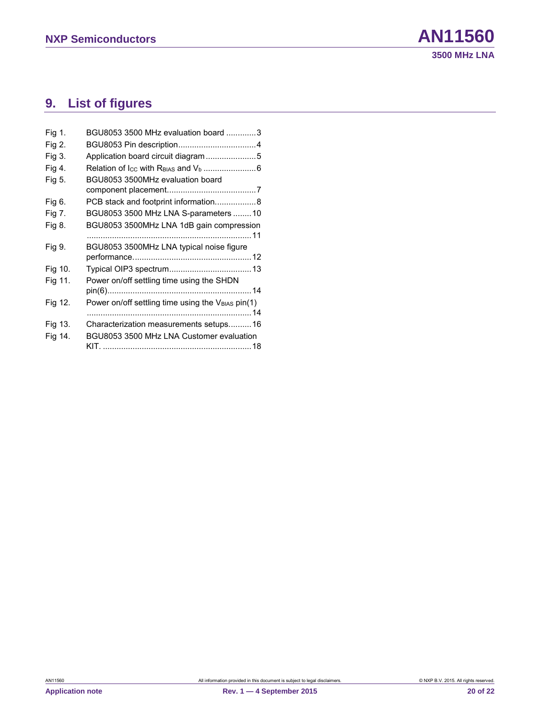## <span id="page-19-0"></span>**9. List of figures**

| Fig 1.  | BGU8053 3500 MHz evaluation board 3                           |
|---------|---------------------------------------------------------------|
| Fig 2.  |                                                               |
| Fig 3.  | Application board circuit diagram5                            |
| Fig 4.  |                                                               |
| Fig 5.  | BGU8053 3500MHz evaluation board                              |
|         |                                                               |
| Fig 6.  | PCB stack and footprint information8                          |
| Fig 7.  | BGU8053 3500 MHz LNA S-parameters  10                         |
| Fig 8.  | BGU8053 3500MHz LNA 1dB gain compression                      |
|         |                                                               |
| Fig 9.  | BGU8053 3500MHz LNA typical noise figure                      |
|         |                                                               |
| Fig 10. |                                                               |
| Fig 11. | Power on/off settling time using the SHDN                     |
|         |                                                               |
| Fig 12. | Power on/off settling time using the V <sub>BIAS</sub> pin(1) |
|         |                                                               |
| Fig 13. | Characterization measurements setups16                        |
| Fig 14. | BGU8053 3500 MHz LNA Customer evaluation                      |
|         |                                                               |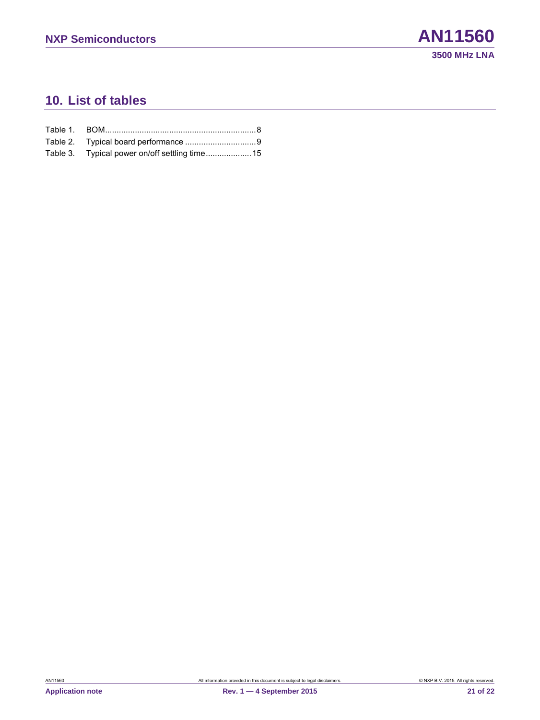### <span id="page-20-0"></span>**10. List of tables**